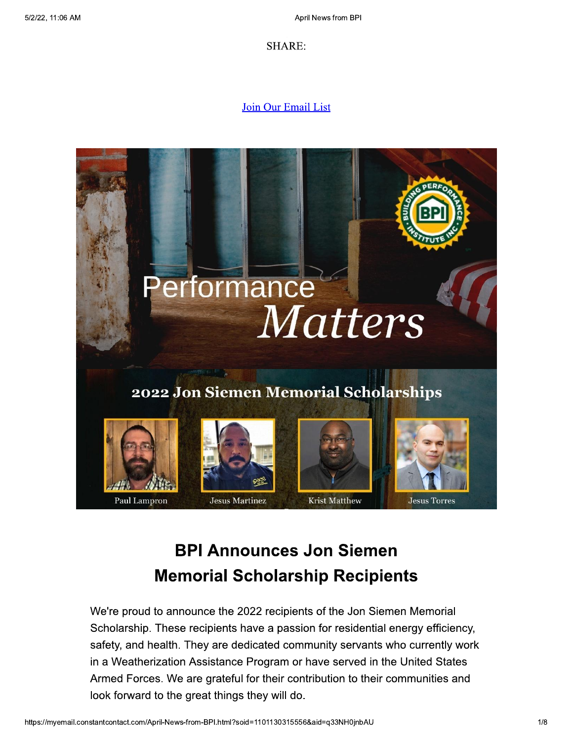**SHARE:** 

## Join Our Email List



## **BPI Announces Jon Siemen Memorial Scholarship Recipients**

We're proud to announce the 2022 recipients of the Jon Siemen Memorial Scholarship. These recipients have a passion for residential energy efficiency, safety, and health. They are dedicated community servants who currently work in a Weatherization Assistance Program or have served in the United States Armed Forces. We are grateful for their contribution to their communities and look forward to the great things they will do.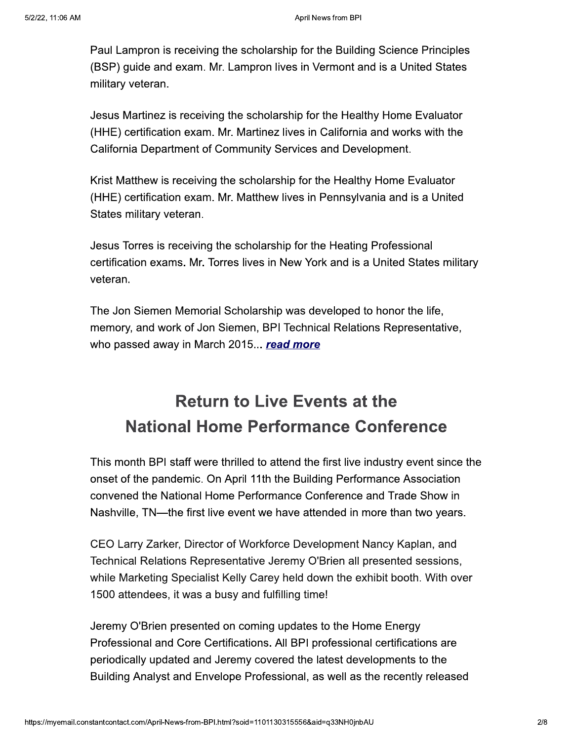Paul Lampron is receiving the scholarship for the Building Science Principles (BSP) guide and exam. Mr. Lampron lives in Vermont and is a United States military veteran.

Jesus Martinez is receiving the scholarship for the Healthy Home Evaluator (HHE) certification exam. Mr. Martinez lives in California and works with the California Department of Community Services and Development.

Krist Matthew is receiving the scholarship for the Healthy Home Evaluator (HHE) certification exam. Mr. Matthew lives in Pennsylvania and is a United States military veteran.

Jesus Torres is receiving the scholarship for the Heating Professional certification exams. Mr. Torres lives in New York and is a United States military veteran.

The Jon Siemen Memorial Scholarship was developed to honor the life, memory, and work of Jon Siemen, BPI Technical Relations Representative, who passed away in March 2015... read more

## **Return to Live Events at the National Home Performance Conference**

This month BPI staff were thrilled to attend the first live industry event since the onset of the pandemic. On April 11th the Building Performance Association convened the National Home Performance Conference and Trade Show in Nashville, TN—the first live event we have attended in more than two years.

CEO Larry Zarker, Director of Workforce Development Nancy Kaplan, and Technical Relations Representative Jeremy O'Brien all presented sessions, while Marketing Specialist Kelly Carey held down the exhibit booth. With over 1500 attendees, it was a busy and fulfilling time!

Jeremy O'Brien presented on coming updates to the Home Energy Professional and Core Certifications. All BPI professional certifications are periodically updated and Jeremy covered the latest developments to the Building Analyst and Envelope Professional, as well as the recently released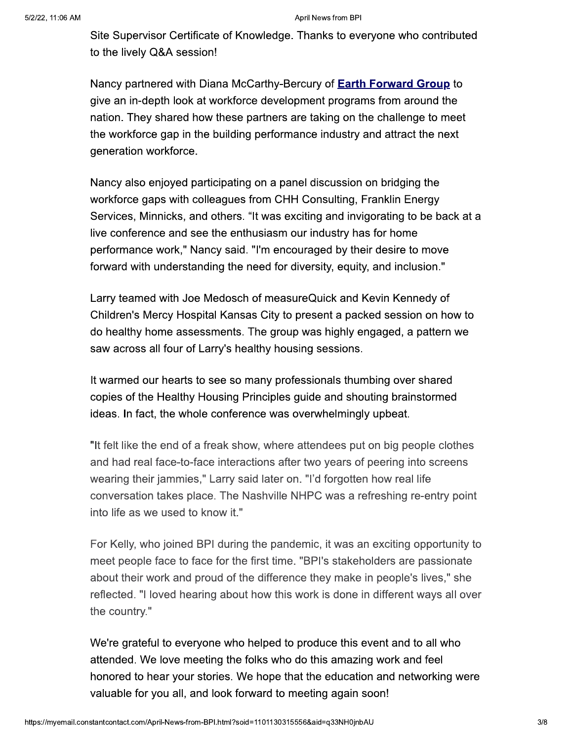Site Supervisor Certificate of Knowledge. Thanks to everyone who contributed to the lively Q&A session!

Nancy partnered with Diana McCarthy-Bercury of **Earth Forward Group** to give an in-depth look at workforce development programs from around the nation. They shared how these partners are taking on the challenge to meet the workforce gap in the building performance industry and attract the next generation workforce.

Nancy also enjoyed participating on a panel discussion on bridging the workforce gaps with colleagues from CHH Consulting, Franklin Energy Services, Minnicks, and others. "It was exciting and invigorating to be back at a live conference and see the enthusiasm our industry has for home performance work," Nancy said. "I'm encouraged by their desire to move forward with understanding the need for diversity, equity, and inclusion."

Larry teamed with Joe Medosch of measureQuick and Kevin Kennedy of Children's Mercy Hospital Kansas City to present a packed session on how to do healthy home assessments. The group was highly engaged, a pattern we saw across all four of Larry's healthy housing sessions.

It warmed our hearts to see so many professionals thumbing over shared copies of the Healthy Housing Principles guide and shouting brainstormed ideas. In fact, the whole conference was overwhelmingly upbeat.

"It felt like the end of a freak show, where attendees put on big people clothes and had real face-to-face interactions after two years of peering into screens wearing their jammies," Larry said later on. "I'd forgotten how real life conversation takes place. The Nashville NHPC was a refreshing re-entry point into life as we used to know it."

For Kelly, who joined BPI during the pandemic, it was an exciting opportunity to meet people face to face for the first time. "BPI's stakeholders are passionate about their work and proud of the difference they make in people's lives," she reflected. "I loved hearing about how this work is done in different ways all over the country."

We're grateful to everyone who helped to produce this event and to all who attended. We love meeting the folks who do this amazing work and feel honored to hear your stories. We hope that the education and networking were valuable for you all, and look forward to meeting again soon!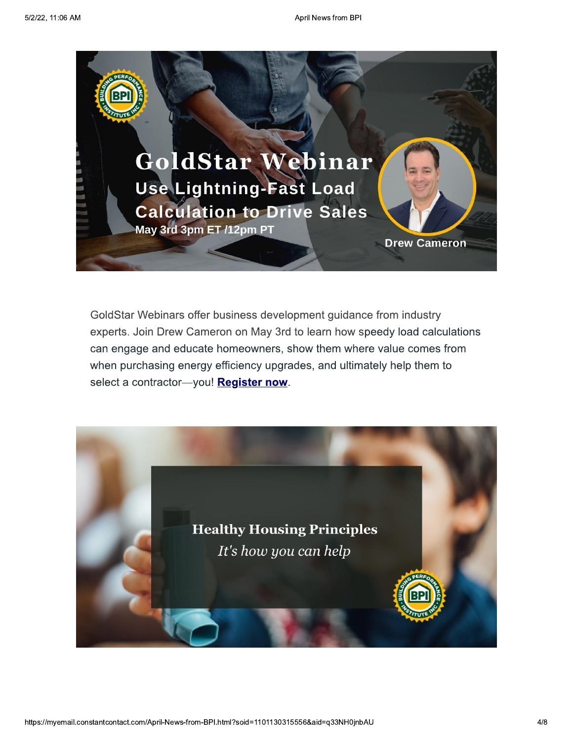

GoldStar Webinars offer business development guidance from industry experts. Join Drew Cameron on May 3rd to learn how speedy load calculations can engage and educate homeowners, show them where value comes from when purchasing energy efficiency upgrades, and ultimately help them to select a contractor-you! Register now.

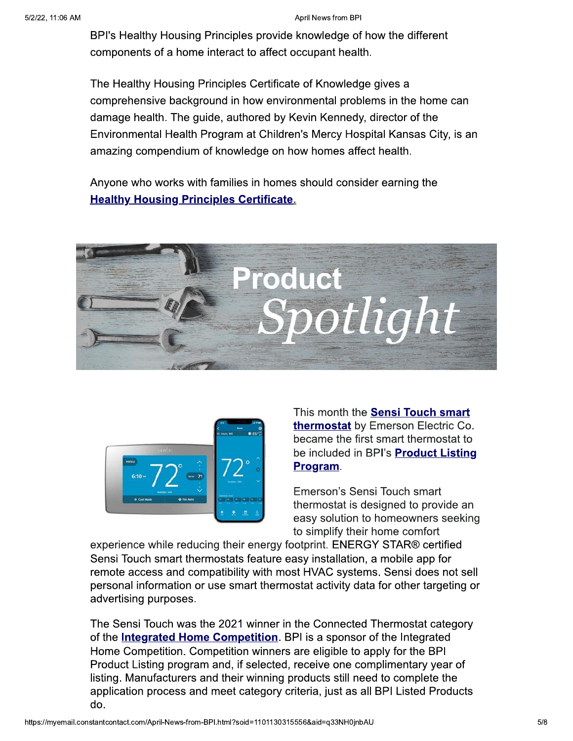BPI's Healthy Housing Principles provide knowledge of how the different components of a home interact to affect occupant health.

The Healthy Housing Principles Certificate of Knowledge gives a comprehensive background in how environmental problems in the home can damage health. The guide, authored by Kevin Kennedy, director of the Environmental Health Program at Children's Mercy Hospital Kansas City, is an amazing compendium of knowledge on how homes affect health.

Anyone who works with families in homes should consider earning the **Healthy Housing Principles Certificate.** 





This month the Sensi Touch smart **thermostat** by Emerson Electric Co. became the first smart thermostat to be included in BPI's Product Listing Program.

Emerson's Sensi Touch smart thermostat is designed to provide an easy solution to homeowners seeking to simplify their home comfort

experience while reducing their energy footprint. ENERGY STAR® certified Sensi Touch smart thermostats feature easy installation, a mobile app for remote access and compatibility with most HVAC systems. Sensi does not sell personal information or use smart thermostat activity data for other targeting or advertising purposes.

The Sensi Touch was the 2021 winner in the Connected Thermostat category of the **Integrated Home Competition**. BPI is a sponsor of the Integrated Home Competition. Competition winners are eligible to apply for the BPI Product Listing program and, if selected, receive one complimentary year of listing. Manufacturers and their winning products still need to complete the application process and meet category criteria, just as all BPI Listed Products do.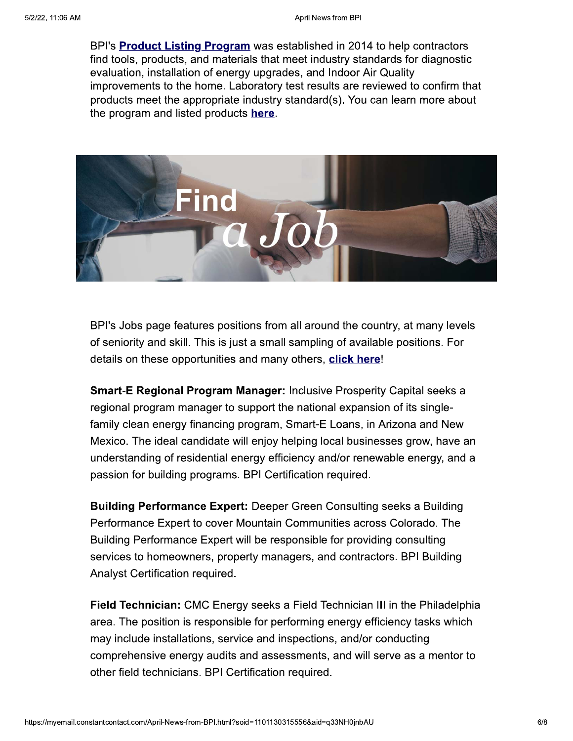BPI's **Product Listing Program** was established in 2014 to help contractors find tools, products, and materials that meet industry standards for diagnostic evaluation, installation of energy upgrades, and Indoor Air Quality improvements to the home. Laboratory test results are reviewed to confirm that products meet the appropriate industry standard(s). You can learn more about the program and listed products here.



BPI's Jobs page features positions from all around the country, at many levels of seniority and skill. This is just a small sampling of available positions. For details on these opportunities and many others, click here!

**Smart-E Regional Program Manager: Inclusive Prosperity Capital seeks a** regional program manager to support the national expansion of its singlefamily clean energy financing program, Smart-E Loans, in Arizona and New Mexico. The ideal candidate will enjoy helping local businesses grow, have an understanding of residential energy efficiency and/or renewable energy, and a passion for building programs. BPI Certification required.

**Building Performance Expert:** Deeper Green Consulting seeks a Building Performance Expert to cover Mountain Communities across Colorado. The Building Performance Expert will be responsible for providing consulting services to homeowners, property managers, and contractors. BPI Building Analyst Certification required.

**Field Technician:** CMC Energy seeks a Field Technician III in the Philadelphia area. The position is responsible for performing energy efficiency tasks which may include installations, service and inspections, and/or conducting comprehensive energy audits and assessments, and will serve as a mentor to other field technicians. BPI Certification required.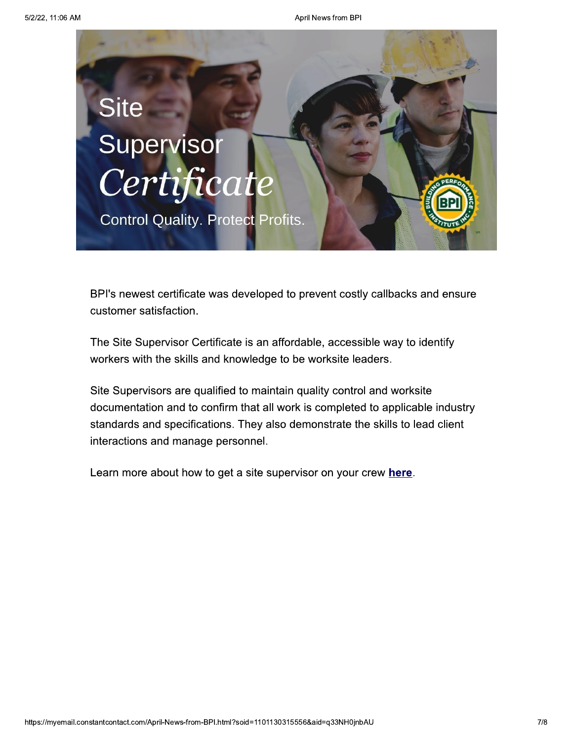

BPI's newest certificate was developed to prevent costly callbacks and ensure customer satisfaction.

The Site Supervisor Certificate is an affordable, accessible way to identify workers with the skills and knowledge to be worksite leaders.

Site Supervisors are qualified to maintain quality control and worksite documentation and to confirm that all work is completed to applicable industry standards and specifications. They also demonstrate the skills to lead client interactions and manage personnel.

Learn more about how to get a site supervisor on your crew here.